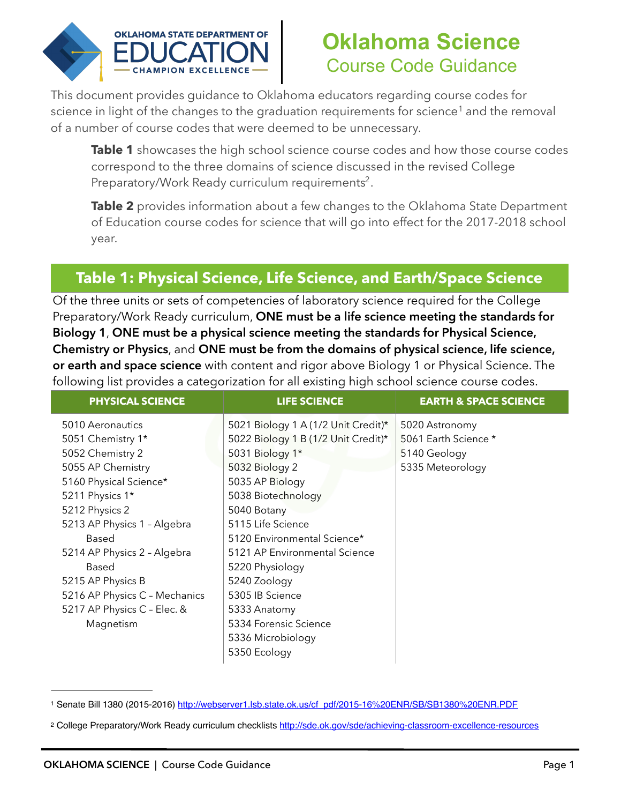

# <span id="page-0-3"></span><span id="page-0-2"></span>**Oklahoma Science** Course Code Guidance

This document provides guidance to Oklahoma educators regarding course codes for sciencein light of the changes to the graduation requirements for science<sup>[1](#page-0-0)</sup> and the removal of a number of course codes that were deemed to be unnecessary.

**Table 1** showcases the high school science course codes and how those course codes correspond to the three domains of science discussed in the revised College Preparatory/Work Ready curriculum requirements<sup>[2](#page-0-1)</sup>.

**Table 2** provides information about a few changes to the Oklahoma State Department of Education course codes for science that will go into effect for the 2017-2018 school year.

## **Table 1: Physical Science, Life Science, and Earth/Space Science**

Of the three units or sets of competencies of laboratory science required for the College Preparatory/Work Ready curriculum, **ONE must be a life science meeting the standards for Biology 1**, **ONE must be a physical science meeting the standards for Physical Science, Chemistry or Physics**, and **ONE must be from the domains of physical science, life science, or earth and space science** with content and rigor above Biology 1 or Physical Science. The following list provides a categorization for all existing high school science course codes.

| <b>PHYSICAL SCIENCE</b>       | <b>LIFE SCIENCE</b>                 | <b>EARTH &amp; SPACE SCIENCE</b> |
|-------------------------------|-------------------------------------|----------------------------------|
| 5010 Aeronautics              | 5021 Biology 1 A (1/2 Unit Credit)* | 5020 Astronomy                   |
| 5051 Chemistry 1*             | 5022 Biology 1 B (1/2 Unit Credit)* | 5061 Earth Science *             |
| 5052 Chemistry 2              | 5031 Biology 1*                     | 5140 Geology                     |
| 5055 AP Chemistry             | 5032 Biology 2                      | 5335 Meteorology                 |
| 5160 Physical Science*        | 5035 AP Biology                     |                                  |
| 5211 Physics 1*               | 5038 Biotechnology                  |                                  |
| 5212 Physics 2                | 5040 Botany                         |                                  |
| 5213 AP Physics 1 - Algebra   | 5115 Life Science                   |                                  |
| Based                         | 5120 Environmental Science*         |                                  |
| 5214 AP Physics 2 - Algebra   | 5121 AP Environmental Science       |                                  |
| Based                         | 5220 Physiology                     |                                  |
| 5215 AP Physics B             | 5240 Zoology                        |                                  |
| 5216 AP Physics C - Mechanics | 5305 IB Science                     |                                  |
| 5217 AP Physics C - Elec. &   | 5333 Anatomy                        |                                  |
| Magnetism                     | 5334 Forensic Science               |                                  |
|                               | 5336 Microbiology                   |                                  |
|                               | 5350 Ecology                        |                                  |

<span id="page-0-0"></span>[<sup>1</sup>](#page-0-2) Senate Bill 1380 (2015-2016) [http://webserver1.lsb.state.ok.us/cf\\_pdf/2015-16%20ENR/SB/SB1380%20ENR.PDF](http://webserver1.lsb.state.ok.us/cf_pdf/2015-16%20ENR/SB/SB1380%20ENR.PDF)

<span id="page-0-1"></span><sup>&</sup>lt;sup>2</sup> College Preparatory/Work Ready curriculum checklists <http://sde.ok.gov/sde/achieving-classroom-excellence-resources>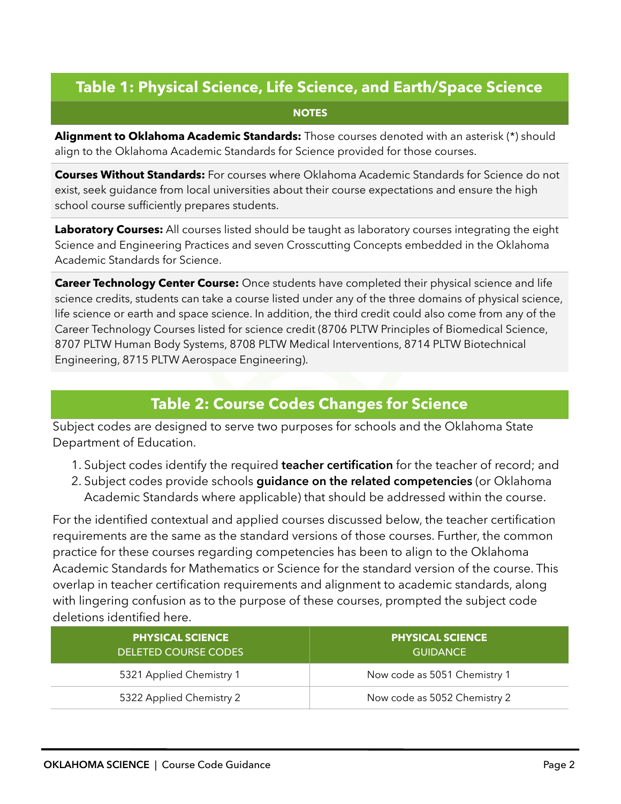### **Table 1: Physical Science, Life Science, and Earth/Space Science**

#### **NOTES**

**Alignment to Oklahoma Academic Standards:** Those courses denoted with an asterisk (\*) should align to the Oklahoma Academic Standards for Science provided for those courses.

**Courses Without Standards:** For courses where Oklahoma Academic Standards for Science do not exist, seek guidance from local universities about their course expectations and ensure the high school course sufficiently prepares students.

**Laboratory Courses:** All courses listed should be taught as laboratory courses integrating the eight Science and Engineering Practices and seven Crosscutting Concepts embedded in the Oklahoma Academic Standards for Science.

**Career Technology Center Course:** Once students have completed their physical science and life science credits, students can take a course listed under any of the three domains of physical science, life science or earth and space science. In addition, the third credit could also come from any of the Career Technology Courses listed for science credit (8706 PLTW Principles of Biomedical Science, 8707 PLTW Human Body Systems, 8708 PLTW Medical Interventions, 8714 PLTW Biotechnical Engineering, 8715 PLTW Aerospace Engineering).

#### **Table 2: Course Codes Changes for Science**

Subject codes are designed to serve two purposes for schools and the Oklahoma State Department of Education.

- 1. Subject codes identify the required **teacher certification** for the teacher of record; and
- 2. Subject codes provide schools **guidance on the related competencies** (or Oklahoma Academic Standards where applicable) that should be addressed within the course.

For the identified contextual and applied courses discussed below, the teacher certification requirements are the same as the standard versions of those courses. Further, the common practice for these courses regarding competencies has been to align to the Oklahoma Academic Standards for Mathematics or Science for the standard version of the course. This overlap in teacher certification requirements and alignment to academic standards, along with lingering confusion as to the purpose of these courses, prompted the subject code deletions identified here.

| <b>PHYSICAL SCIENCE</b><br>DELETED COURSE CODES | <b>PHYSICAL SCIENCE</b><br><b>GUIDANCE</b> |
|-------------------------------------------------|--------------------------------------------|
| 5321 Applied Chemistry 1                        | Now code as 5051 Chemistry 1               |
| 5322 Applied Chemistry 2                        | Now code as 5052 Chemistry 2               |